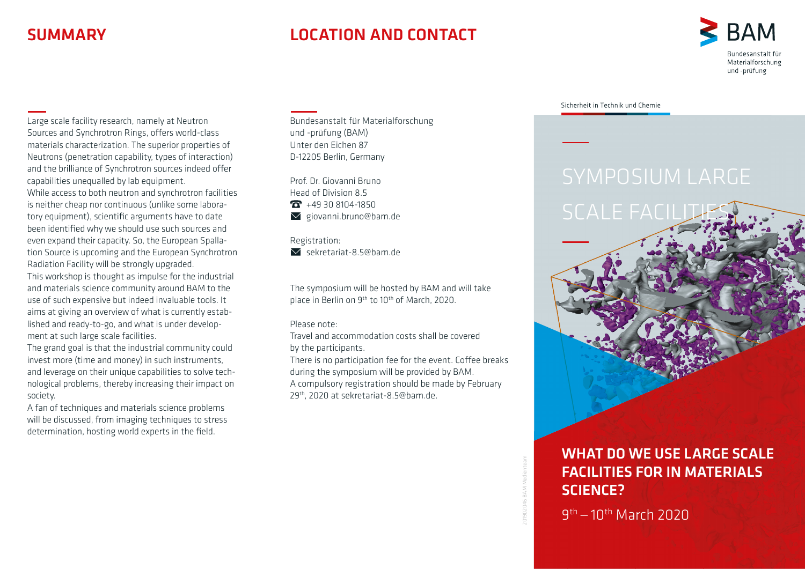# **SUMMARY**

# LOCATION AND CONTACT



Large scale facility research, namely at Neutron Sources and Synchrotron Rings, offers world-class materials characterization. The superior properties of Neutrons (penetration capability, types of interaction) and the brilliance of Synchrotron sources indeed offer capabilities unequalled by lab equipment. While access to both neutron and synchrotron facilities is neither cheap nor continuous (unlike some laboratory equipment), scientific arguments have to date been identified why we should use such sources and even expand their capacity. So, the European Spallation Source is upcoming and the European Synchrotron Radiation Facility will be strongly upgraded. This workshop is thought as impulse for the industrial and materials science community around BAM to the use of such expensive but indeed invaluable tools. It aims at giving an overview of what is currently established and ready-to-go, and what is under development at such large scale facilities.

The grand goal is that the industrial community could invest more (time and money) in such instruments, and leverage on their unique capabilities to solve technological problems, thereby increasing their impact on society.

A fan of techniques and materials science problems will be discussed, from imaging techniques to stress determination, hosting world experts in the field.

Bundesanstalt für Materialforschung und -prüfung (BAM) Unter den Eichen 87 D-12205 Berlin, Germany

Prof. Dr. Giovanni Bruno Head of Division 8.5  $\overline{13}$  +49 30 8104-1850  $\blacktriangleright$  giovanni.bruno@bam.de

Registration:  $\overline{\mathsf{S}}$  sekretariat-8.5@bam.de

The symposium will be hosted by BAM and will take place in Berlin on 9<sup>th</sup> to 10<sup>th</sup> of March, 2020.

Please note:

Travel and accommodation costs shall be covered by the participants.

There is no participation fee for the event. Coffee breaks during the symposium will be provided by BAM. A compulsory registration should be made by February 29th, 2020 at sekretariat-8.5@bam.de.

Sicherheit in Technik und Chemie



201902046 BAM Medienteam

### WHAT DO WE USE LARGE SCALE FACILITIES FOR IN MATERIALS SCIENCE?

9th— 10th March 2020